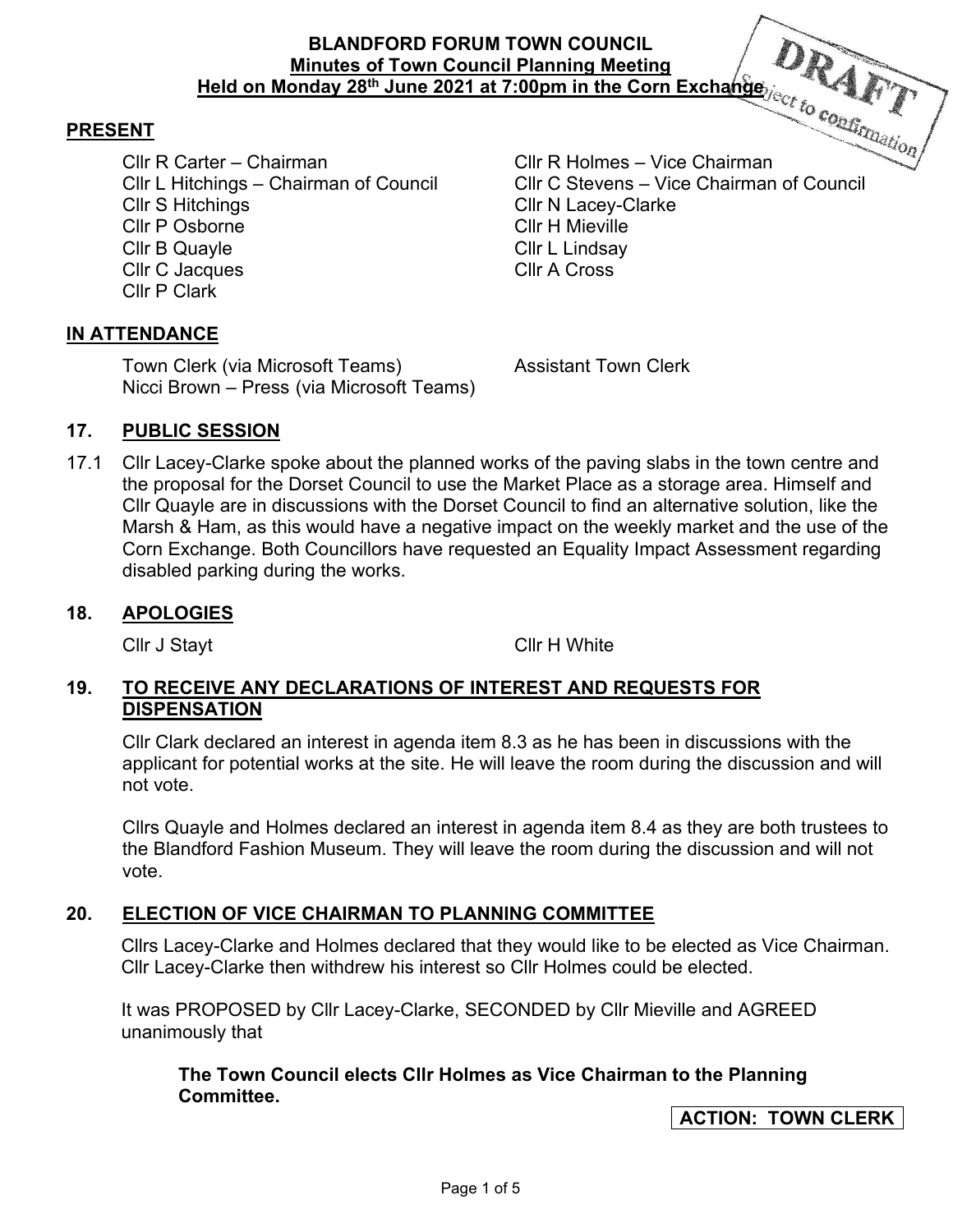## **BLANDFORD FORUM TOWN COUNCIL Minutes of Town Council Planning Meeting Held on Monday 28th June 2021 at 7:00pm in the Corn Exchange**

### **PRESENT**

Cllr R Carter – Chairman Cllr R Holmes – Vice Chairman Cllr S Hitchings Cllr N Lacey-Clarke Cllr P Osborne Cllr H Mieville Cllr B Quayle Cllr L Lindsay Cllr C Jacques Cllr A Cross Cllr P Clark

Cllr L Hitchings – Chairman of Council Cllr C Stevens – Vice Chairman of Council

### **IN ATTENDANCE**

Town Clerk (via Microsoft Teams) Assistant Town Clerk Nicci Brown – Press (via Microsoft Teams)

#### **17. PUBLIC SESSION**

17.1 Cllr Lacey-Clarke spoke about the planned works of the paving slabs in the town centre and the proposal for the Dorset Council to use the Market Place as a storage area. Himself and Cllr Quayle are in discussions with the Dorset Council to find an alternative solution, like the Marsh & Ham, as this would have a negative impact on the weekly market and the use of the Corn Exchange. Both Councillors have requested an Equality Impact Assessment regarding disabled parking during the works.

#### **18. APOLOGIES**

Cllr J Stayt Cllr H White

### **19. TO RECEIVE ANY DECLARATIONS OF INTEREST AND REQUESTS FOR DISPENSATION**

Cllr Clark declared an interest in agenda item 8.3 as he has been in discussions with the applicant for potential works at the site. He will leave the room during the discussion and will not vote.

Cllrs Quayle and Holmes declared an interest in agenda item 8.4 as they are both trustees to the Blandford Fashion Museum. They will leave the room during the discussion and will not vote.

### **20. ELECTION OF VICE CHAIRMAN TO PLANNING COMMITTEE**

Cllrs Lacey-Clarke and Holmes declared that they would like to be elected as Vice Chairman. Cllr Lacey-Clarke then withdrew his interest so Cllr Holmes could be elected.

It was PROPOSED by Cllr Lacey-Clarke, SECONDED by Cllr Mieville and AGREED unanimously that

**The Town Council elects Cllr Holmes as Vice Chairman to the Planning Committee.** 

**ACTION: TOWN CLERK**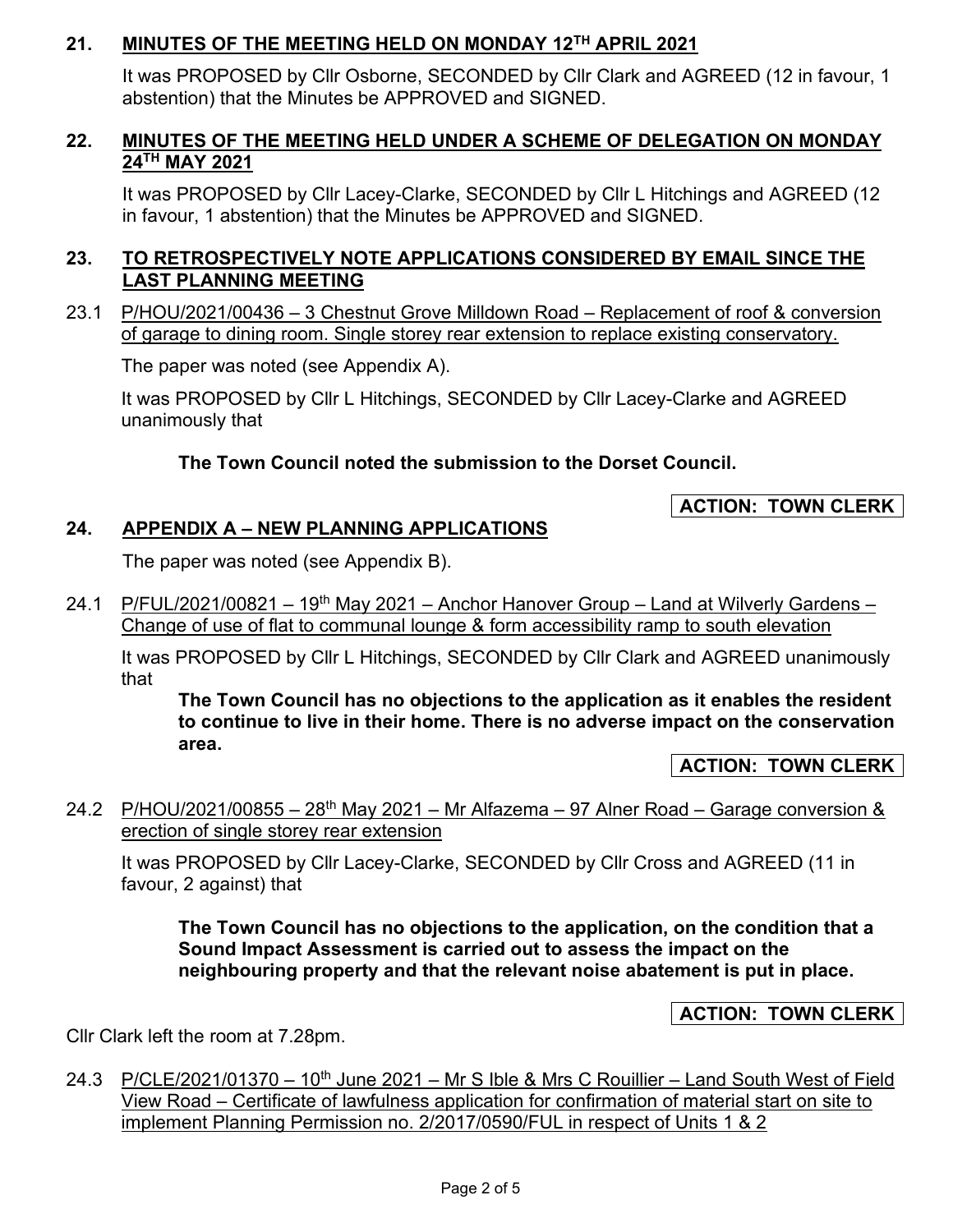# **21. MINUTES OF THE MEETING HELD ON MONDAY 12TH APRIL 2021**

It was PROPOSED by Cllr Osborne, SECONDED by Cllr Clark and AGREED (12 in favour, 1 abstention) that the Minutes be APPROVED and SIGNED.

# **22. MINUTES OF THE MEETING HELD UNDER A SCHEME OF DELEGATION ON MONDAY 24TH MAY 2021**

It was PROPOSED by Cllr Lacey-Clarke, SECONDED by Cllr L Hitchings and AGREED (12 in favour, 1 abstention) that the Minutes be APPROVED and SIGNED.

# **23. TO RETROSPECTIVELY NOTE APPLICATIONS CONSIDERED BY EMAIL SINCE THE LAST PLANNING MEETING**

23.1 P/HOU/2021/00436 – 3 Chestnut Grove Milldown Road – Replacement of roof & conversion of garage to dining room. Single storey rear extension to replace existing conservatory.

The paper was noted (see Appendix A).

It was PROPOSED by Cllr L Hitchings, SECONDED by Cllr Lacey-Clarke and AGREED unanimously that

# **The Town Council noted the submission to the Dorset Council.**

# **ACTION: TOWN CLERK**

# **24. APPENDIX A – NEW PLANNING APPLICATIONS**

The paper was noted (see Appendix B).

24.1 P/FUL/2021/00821 – 19<sup>th</sup> May 2021 – Anchor Hanover Group – Land at Wilverly Gardens – Change of use of flat to communal lounge & form accessibility ramp to south elevation

It was PROPOSED by Cllr L Hitchings, SECONDED by Cllr Clark and AGREED unanimously that

**The Town Council has no objections to the application as it enables the resident to continue to live in their home. There is no adverse impact on the conservation area.** 

**ACTION: TOWN CLERK** 

24.2 P/HOU/2021/00855 – 28<sup>th</sup> May 2021 – Mr Alfazema – 97 Alner Road – Garage conversion & erection of single storey rear extension

It was PROPOSED by Cllr Lacey-Clarke, SECONDED by Cllr Cross and AGREED (11 in favour, 2 against) that

**The Town Council has no objections to the application, on the condition that a Sound Impact Assessment is carried out to assess the impact on the neighbouring property and that the relevant noise abatement is put in place.** 

# **ACTION: TOWN CLERK**

Cllr Clark left the room at 7.28pm.

24.3 P/CLE/2021/01370 – 10<sup>th</sup> June 2021 – Mr S Ible & Mrs C Rouillier – Land South West of Field View Road – Certificate of lawfulness application for confirmation of material start on site to implement Planning Permission no. 2/2017/0590/FUL in respect of Units 1 & 2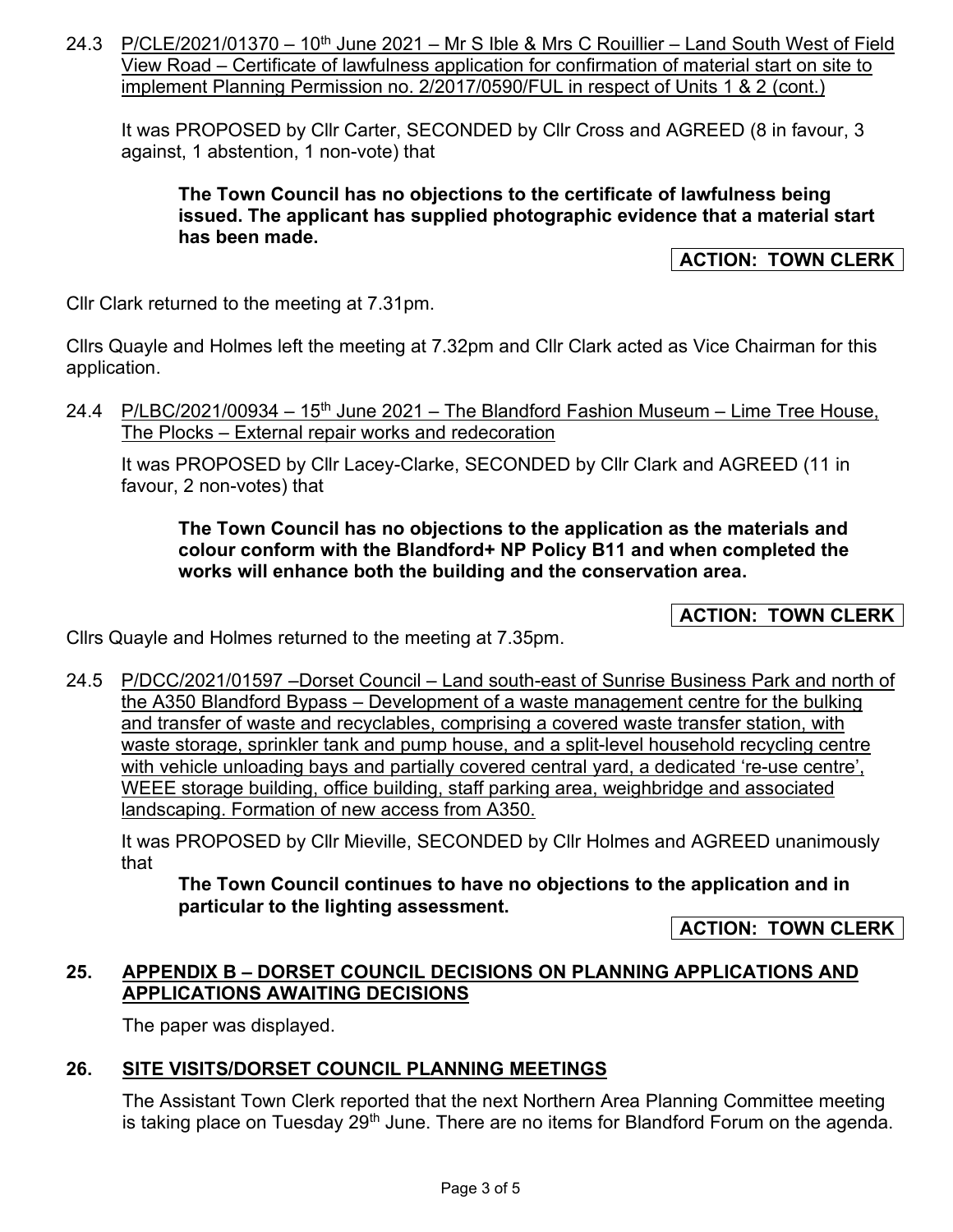24.3 P/CLE/2021/01370 – 10<sup>th</sup> June 2021 – Mr S Ible & Mrs C Rouillier – Land South West of Field View Road – Certificate of lawfulness application for confirmation of material start on site to implement Planning Permission no. 2/2017/0590/FUL in respect of Units 1 & 2 (cont.)

It was PROPOSED by Cllr Carter, SECONDED by Cllr Cross and AGREED (8 in favour, 3 against, 1 abstention, 1 non-vote) that

**The Town Council has no objections to the certificate of lawfulness being issued. The applicant has supplied photographic evidence that a material start has been made.** 

### **ACTION: TOWN CLERK**

Cllr Clark returned to the meeting at 7.31pm.

Cllrs Quayle and Holmes left the meeting at 7.32pm and Cllr Clark acted as Vice Chairman for this application.

24.4 P/LBC/2021/00934 – 15<sup>th</sup> June 2021 – The Blandford Fashion Museum – Lime Tree House, The Plocks – External repair works and redecoration

It was PROPOSED by Cllr Lacey-Clarke, SECONDED by Cllr Clark and AGREED (11 in favour, 2 non-votes) that

### **The Town Council has no objections to the application as the materials and colour conform with the Blandford+ NP Policy B11 and when completed the works will enhance both the building and the conservation area.**

**ACTION: TOWN CLERK** 

Cllrs Quayle and Holmes returned to the meeting at 7.35pm.

24.5 P/DCC/2021/01597 –Dorset Council – Land south-east of Sunrise Business Park and north of the A350 Blandford Bypass – Development of a waste management centre for the bulking and transfer of waste and recyclables, comprising a covered waste transfer station, with waste storage, sprinkler tank and pump house, and a split-level household recycling centre with vehicle unloading bays and partially covered central yard, a dedicated 're-use centre', WEEE storage building, office building, staff parking area, weighbridge and associated landscaping. Formation of new access from A350.

It was PROPOSED by Cllr Mieville, SECONDED by Cllr Holmes and AGREED unanimously that

**The Town Council continues to have no objections to the application and in particular to the lighting assessment.** 

**ACTION: TOWN CLERK** 

### **25. APPENDIX B – DORSET COUNCIL DECISIONS ON PLANNING APPLICATIONS AND APPLICATIONS AWAITING DECISIONS**

The paper was displayed.

# **26. SITE VISITS/DORSET COUNCIL PLANNING MEETINGS**

The Assistant Town Clerk reported that the next Northern Area Planning Committee meeting is taking place on Tuesday  $29<sup>th</sup>$  June. There are no items for Blandford Forum on the agenda.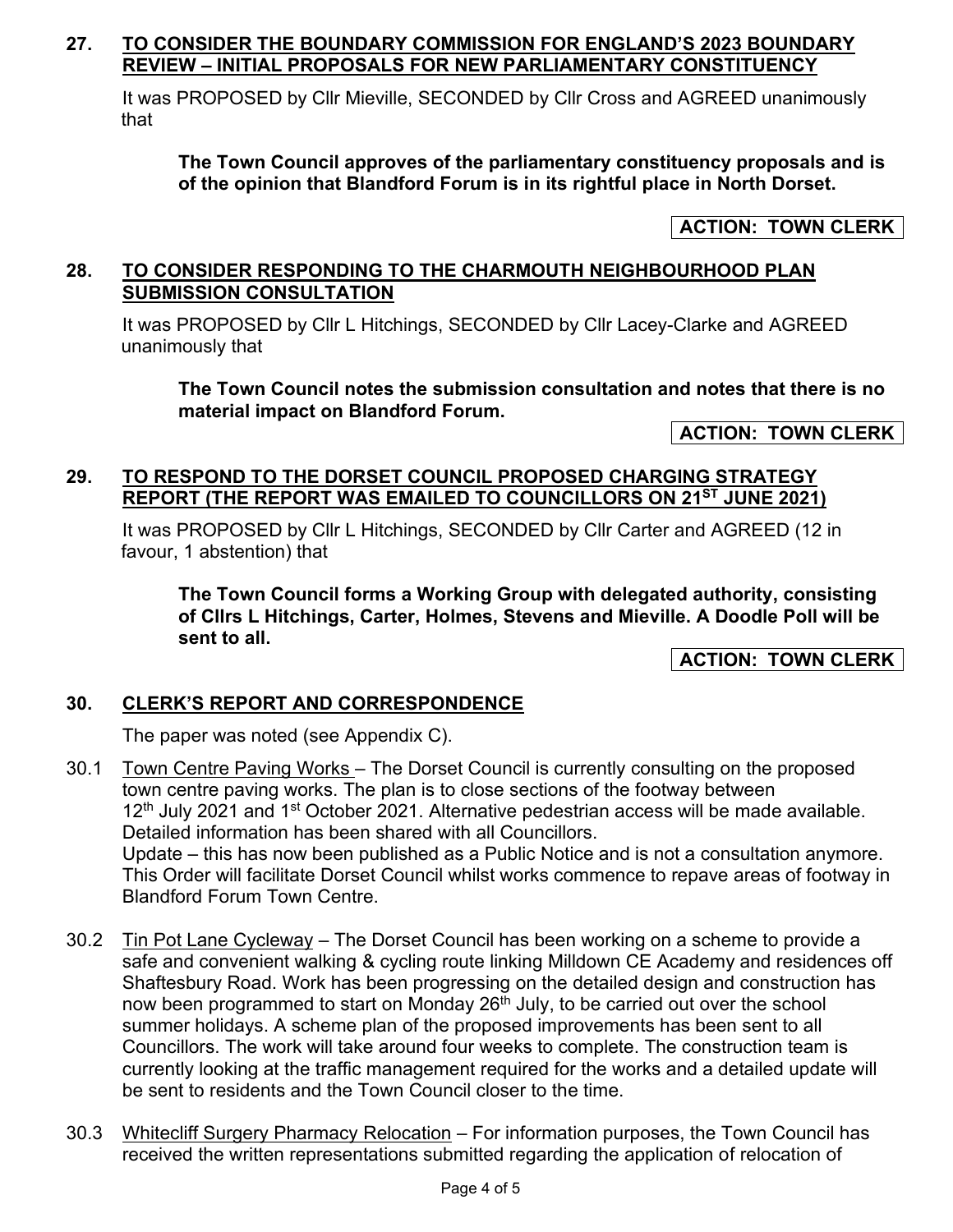### **27. TO CONSIDER THE BOUNDARY COMMISSION FOR ENGLAND'S 2023 BOUNDARY REVIEW – INITIAL PROPOSALS FOR NEW PARLIAMENTARY CONSTITUENCY**

It was PROPOSED by Cllr Mieville, SECONDED by Cllr Cross and AGREED unanimously that

**The Town Council approves of the parliamentary constituency proposals and is of the opinion that Blandford Forum is in its rightful place in North Dorset.** 

**ACTION: TOWN CLERK** 

### **28. TO CONSIDER RESPONDING TO THE CHARMOUTH NEIGHBOURHOOD PLAN SUBMISSION CONSULTATION**

It was PROPOSED by Cllr L Hitchings, SECONDED by Cllr Lacey-Clarke and AGREED unanimously that

**The Town Council notes the submission consultation and notes that there is no material impact on Blandford Forum.** 

**ACTION: TOWN CLERK** 

## **29. TO RESPOND TO THE DORSET COUNCIL PROPOSED CHARGING STRATEGY REPORT (THE REPORT WAS EMAILED TO COUNCILLORS ON 21ST JUNE 2021)**

It was PROPOSED by Cllr L Hitchings, SECONDED by Cllr Carter and AGREED (12 in favour, 1 abstention) that

**The Town Council forms a Working Group with delegated authority, consisting of Cllrs L Hitchings, Carter, Holmes, Stevens and Mieville. A Doodle Poll will be sent to all.** 

**ACTION: TOWN CLERK** 

# **30. CLERK'S REPORT AND CORRESPONDENCE**

The paper was noted (see Appendix C).

30.1 Town Centre Paving Works - The Dorset Council is currently consulting on the proposed town centre paving works. The plan is to close sections of the footway between 12<sup>th</sup> July 2021 and 1<sup>st</sup> October 2021. Alternative pedestrian access will be made available. Detailed information has been shared with all Councillors. Update – this has now been published as a Public Notice and is not a consultation anymore. This Order will facilitate Dorset Council whilst works commence to repave areas of footway in Blandford Forum Town Centre.

- 30.2 Tin Pot Lane Cycleway The Dorset Council has been working on a scheme to provide a safe and convenient walking & cycling route linking Milldown CE Academy and residences off Shaftesbury Road. Work has been progressing on the detailed design and construction has now been programmed to start on Monday  $26<sup>th</sup>$  July, to be carried out over the school summer holidays. A scheme plan of the proposed improvements has been sent to all Councillors. The work will take around four weeks to complete. The construction team is currently looking at the traffic management required for the works and a detailed update will be sent to residents and the Town Council closer to the time.
- 30.3 Whitecliff Surgery Pharmacy Relocation For information purposes, the Town Council has received the written representations submitted regarding the application of relocation of